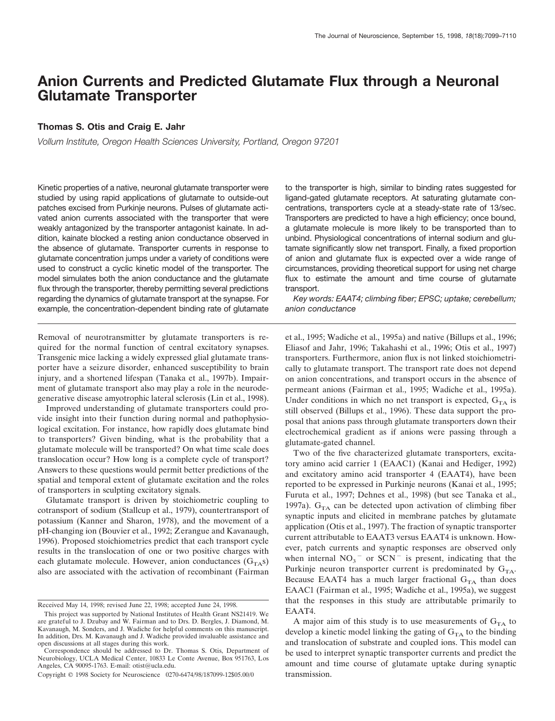# **Anion Currents and Predicted Glutamate Flux through a Neuronal Glutamate Transporter**

# **Thomas S. Otis and Craig E. Jahr**

*Vollum Institute, Oregon Health Sciences University, Portland, Oregon 97201*

Kinetic properties of a native, neuronal glutamate transporter were studied by using rapid applications of glutamate to outside-out patches excised from Purkinje neurons. Pulses of glutamate activated anion currents associated with the transporter that were weakly antagonized by the transporter antagonist kainate. In addition, kainate blocked a resting anion conductance observed in the absence of glutamate. Transporter currents in response to glutamate concentration jumps under a variety of conditions were used to construct a cyclic kinetic model of the transporter. The model simulates both the anion conductance and the glutamate flux through the transporter, thereby permitting several predictions regarding the dynamics of glutamate transport at the synapse. For example, the concentration-dependent binding rate of glutamate

Removal of neurotransmitter by glutamate transporters is required for the normal function of central excitatory synapses. Transgenic mice lacking a widely expressed glial glutamate transporter have a seizure disorder, enhanced susceptibility to brain injury, and a shortened lifespan (Tanaka et al., 1997b). Impairment of glutamate transport also may play a role in the neurodegenerative disease amyotrophic lateral sclerosis (Lin et al., 1998).

Improved understanding of glutamate transporters could provide insight into their function during normal and pathophysiological excitation. For instance, how rapidly does glutamate bind to transporters? Given binding, what is the probability that a glutamate molecule will be transported? On what time scale does translocation occur? How long is a complete cycle of transport? Answers to these questions would permit better predictions of the spatial and temporal extent of glutamate excitation and the roles of transporters in sculpting excitatory signals.

Glutamate transport is driven by stoichiometric coupling to cotransport of sodium (Stallcup et al., 1979), countertransport of potassium (Kanner and Sharon, 1978), and the movement of a pH-changing ion (Bouvier et al., 1992; Zerangue and Kavanaugh, 1996). Proposed stoichiometries predict that each transport cycle results in the translocation of one or two positive charges with each glutamate molecule. However, anion conductances  $(G<sub>TA</sub>S)$ also are associated with the activation of recombinant (Fairman

to the transporter is high, similar to binding rates suggested for ligand-gated glutamate receptors. At saturating glutamate concentrations, transporters cycle at a steady-state rate of 13/sec. Transporters are predicted to have a high efficiency; once bound, a glutamate molecule is more likely to be transported than to unbind. Physiological concentrations of internal sodium and glutamate significantly slow net transport. Finally, a fixed proportion of anion and glutamate flux is expected over a wide range of circumstances, providing theoretical support for using net charge flux to estimate the amount and time course of glutamate transport.

*Key words: EAAT4; climbing fiber; EPSC; uptake; cerebellum; anion conductance*

et al., 1995; Wadiche et al., 1995a) and native (Billups et al., 1996; Eliasof and Jahr, 1996; Takahashi et al., 1996; Otis et al., 1997) transporters. Furthermore, anion flux is not linked stoichiometrically to glutamate transport. The transport rate does not depend on anion concentrations, and transport occurs in the absence of permeant anions (Fairman et al., 1995; Wadiche et al., 1995a). Under conditions in which no net transport is expected,  $G_{TA}$  is still observed (Billups et al., 1996). These data support the proposal that anions pass through glutamate transporters down their electrochemical gradient as if anions were passing through a glutamate-gated channel.

Two of the five characterized glutamate transporters, excitatory amino acid carrier 1 (EAAC1) (Kanai and Hediger, 1992) and excitatory amino acid transporter 4 (EAAT4), have been reported to be expressed in Purkinje neurons (Kanai et al., 1995; Furuta et al., 1997; Dehnes et al., 1998) (but see Tanaka et al., 1997a).  $G<sub>TA</sub>$  can be detected upon activation of climbing fiber synaptic inputs and elicited in membrane patches by glutamate application (Otis et al., 1997). The fraction of synaptic transporter current attributable to EAAT3 versus EAAT4 is unknown. However, patch currents and synaptic responses are observed only when internal  $NO<sub>3</sub>$ <sup>-</sup> or SCN<sup>-</sup> is present, indicating that the Purkinje neuron transporter current is predominated by  $G_{TA}$ . Because EAAT4 has a much larger fractional  $G<sub>TA</sub>$  than does EAAC1 (Fairman et al., 1995; Wadiche et al., 1995a), we suggest that the responses in this study are attributable primarily to EAAT4.

A major aim of this study is to use measurements of  $G<sub>TA</sub>$  to develop a kinetic model linking the gating of  $G<sub>TA</sub>$  to the binding and translocation of substrate and coupled ions. This model can be used to interpret synaptic transporter currents and predict the amount and time course of glutamate uptake during synaptic transmission.

Received May 14, 1998; revised June 22, 1998; accepted June 24, 1998.

This project was supported by National Institutes of Health Grant NS21419. We are grateful to J. Dzubay and W. Fairman and to Drs. D. Bergles, J. Diamond, M. Kavanaugh, M. Sonders, and J. Wadiche for helpful comments on this manuscript. In addition, Drs. M. Kavanaugh and J. Wadiche provided invaluable assistance and open discussions at all stages during this work.

Correspondence should be addressed to Dr. Thomas S. Otis, Department of Neurobiology, UCLA Medical Center, 10833 Le Conte Avenue, Box 951763, Los Angeles, CA 90095-1763. E-mail: otist@ucla.edu.

Copyright © 1998 Society for Neuroscience 0270-6474/98/187099-12\$05.00/0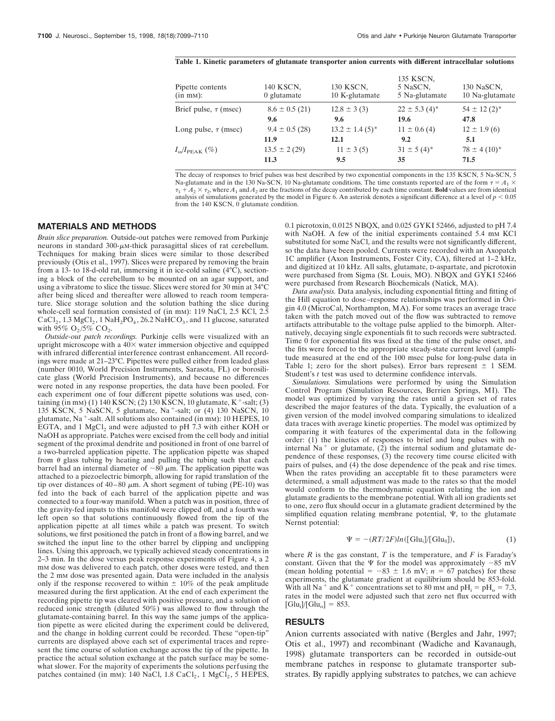#### **Table 1. Kinetic parameters of glutamate transporter anion currents with different intracellular solutions**

| Pipette contents<br>(in mM):  | 140 KSCN,<br>$0$ glutamate | 130 KSCN,<br>10 K-glutamate     | 135 KSCN,<br>5 NaSCN,<br>5 Na-glutamate | 130 NaSCN,<br>10 Na-glutamate |
|-------------------------------|----------------------------|---------------------------------|-----------------------------------------|-------------------------------|
| Brief pulse, $\tau$ (msec)    | $8.6 \pm 0.5$ (21)         | $12.8 \pm 3(3)$                 | $22 \pm 5.3$ (4) <sup>*</sup>           | $54 \pm 12(2)^*$              |
|                               | 9.6                        | 9.6                             | 19.6                                    | 47.8                          |
| Long pulse, $\tau$ (msec)     | $9.4 \pm 0.5$ (28)         | $13.2 \pm 1.4$ (5) <sup>*</sup> | $11 \pm 0.6$ (4)                        | $12 \pm 1.9(6)$               |
|                               | 11.9                       | 12.1                            | 9.2                                     | 5.1                           |
| $I_{\rm ss}/I_{\rm PEAK}$ (%) | $13.5 \pm 2(29)$           | $11 \pm 3(5)$                   | $31 \pm 5(4)^*$                         | $78 \pm 4(10)^*$              |
|                               | 11.3                       | 9.5                             | 35                                      | 71.5                          |

The decay of responses to brief pulses was best described by two exponential components in the 135 KSCN, 5 Na-SCN, 5 Na-glutamate and in the 130 Na-SCN, 10 Na-glutamate conditions. The time constants reported are of the form  $\tau = A_1 \times$  $\tau_1 + A_2 \times \tau_2$ , where  $A_1$  and  $A_2$  are the fractions of the decay contributed by each time constant. **Bold** values are from identical analysis of simulations generated by the model in Figure 6. An asterisk denotes a significant difference at a level of  $p < 0.05$ from the 140 KSCN, 0 glutamate condition.

# **MATERIALS AND METHODS**

*Brain slice preparation.* Outside-out patches were removed from Purkinje neurons in standard  $300$ - $\mu$ M-thick parasagittal slices of rat cerebellum. Techniques for making brain slices were similar to those described previously (Otis et al., 1997). Slices were prepared by removing the brain from a 13- to 18-d-old rat, immersing it in ice-cold saline (4°C), sectioning a block of the cerebellum to be mounted on an agar support, and using a vibratome to slice the tissue. Slices were stored for 30 min at 34°C after being sliced and thereafter were allowed to reach room temperature. Slice storage solution and the solution bathing the slice during whole-cell seal formation consisted of (in mm): 119 NaCl, 2.5 KCl, 2.5  $CaCl<sub>2</sub>$ , 1.3 MgCl<sub>2</sub>, 1 NaH<sub>2</sub>PO<sub>4</sub>, 26.2 NaHCO<sub>3</sub>, and 11 glucose, saturated with 95%  $O_2/5\%$  CO<sub>2</sub>.

*Outside-out patch recordings.* Purkinje cells were visualized with an upright microscope with a  $40\times$  water immersion objective and equipped with infrared differential interference contrast enhancement. All recordings were made at 21–23°C. Pipettes were pulled either from leaded glass (number 0010, World Precision Instruments, Sarasota, FL) or borosilicate glass (World Precision Instruments), and because no differences were noted in any response properties, the data have been pooled. For each experiment one of four different pipette solutions was used, containing (in mM) (1) 140 KSCN; (2) 130 KSCN, 10 glutamate,  $K^+$ -salt; (3) 135 KSCN, 5 NaSCN, 5 glutamate, Na<sup>+</sup>-salt; or (4) 130 NaSCN, 10 glutamate, Na<sup>+</sup>-salt. All solutions also contained (in mm):  $10$  HEPES,  $10$ EGTA, and 1 MgCl<sub>2</sub> and were adjusted to pH 7.3 with either KOH or NaOH as appropriate. Patches were excised from the cell body and initial segment of the proximal dendrite and positioned in front of one barrel of a two-barreled application pipette. The application pipette was shaped from  $\theta$  glass tubing by heating and pulling the tubing such that each barrel had an internal diameter of  $\sim 80 \mu$ m. The application pipette was attached to a piezoelectric bimorph, allowing for rapid translation of the tip over distances of 40–80  $\mu$ m. A short segment of tubing (PE-10) was fed into the back of each barrel of the application pipette and was connected to a four-way manifold. When a patch was in position, three of the gravity-fed inputs to this manifold were clipped off, and a fourth was left open so that solutions continuously flowed from the tip of the application pipette at all times while a patch was present. To switch solutions, we first positioned the patch in front of a flowing barrel, and we switched the input line to the other barrel by clipping and unclipping lines. Using this approach, we typically achieved steady concentrations in 2–3 min. In the dose versus peak response experiments of Figure 4, a 2 mM dose was delivered to each patch, other doses were tested, and then the 2 mM dose was presented again. Data were included in the analysis only if the response recovered to within  $\pm 10\%$  of the peak amplitude measured during the first application. At the end of each experiment the recording pipette tip was cleared with positive pressure, and a solution of reduced ionic strength (diluted 50%) was allowed to flow through the glutamate-containing barrel. In this way the same jumps of the application pipette as were elicited during the experiment could be delivered, and the change in holding current could be recorded. These "open-tip" currents are displayed above each set of experimental traces and represent the time course of solution exchange across the tip of the pipette. In practice the actual solution exchange at the patch surface may be somewhat slower. For the majority of experiments the solutions perfusing the patches contained (in mm): 140 NaCl, 1.8 CaCl<sub>2</sub>, 1 MgCl<sub>2</sub>, 5 HEPES,

0.1 picrotoxin, 0.0125 NBQX, and 0.025 GYKI 52466, adjusted to pH 7.4 with NaOH. A few of the initial experiments contained 5.4 mm KCl substituted for some NaCl, and the results were not significantly different, so the data have been pooled. Currents were recorded with an Axopatch 1C amplifier (Axon Instruments, Foster City, CA), filtered at 1–2 kHz, and digitized at 10 kHz. All salts, glutamate, D-aspartate, and picrotoxin were purchased from Sigma (St. Louis, MO). NBQX and GYKI 52466 were purchased from Research Biochemicals (Natick, MA).

*Data analysis.* Data analysis, including exponential fitting and fitting of the Hill equation to dose–response relationships was performed in Origin 4.0 (MicroCal, Northampton, MA). For some traces an average trace taken with the patch moved out of the flow was subtracted to remove artifacts attributable to the voltage pulse applied to the bimorph. Alternatively, decaying single exponentials fit to such records were subtracted. Time 0 for exponential fits was fixed at the time of the pulse onset, and the fits were forced to the appropriate steady-state current level (amplitude measured at the end of the 100 msec pulse for long-pulse data in Table 1; zero for the short pulses). Error bars represent  $\pm$  1 SEM. Student's *t* test was used to determine confidence intervals.

*Simulations.* Simulations were performed by using the Simulation Control Program (Simulation Resources, Berrien Springs, MI). The model was optimized by varying the rates until a given set of rates described the major features of the data. Typically, the evaluation of a given version of the model involved comparing simulations to idealized data traces with average kinetic properties. The model was optimized by comparing it with features of the experimental data in the following order: (1) the kinetics of responses to brief and long pulses with no internal  $Na<sup>+</sup>$  or glutamate, (2) the internal sodium and glutamate dependence of these responses, (3) the recovery time course elicited with pairs of pulses, and (4) the dose dependence of the peak and rise times. When the rates providing an acceptable fit to these parameters were determined, a small adjustment was made to the rates so that the model would conform to the thermodynamic equation relating the ion and glutamate gradients to the membrane potential. With all ion gradients set to one, zero flux should occur in a glutamate gradient determined by the simplified equation relating membrane potential,  $\Psi$ , to the glutamate Nernst potential:

$$
\Psi = -(RT/2F)ln([Glu_i]/[Glu_0]),\tag{1}
$$

where  $R$  is the gas constant,  $T$  is the temperature, and  $F$  is Faraday's constant. Given that the  $\Psi$  for the model was approximately  $-85$  mV (mean holding potential =  $-83 \pm 1.6$  mV;  $n = 67$  patches) for these experiments, the glutamate gradient at equilibrium should be 853-fold. With all Na<sup>+</sup> and K<sup>+</sup> concentrations set to 80 mm and pH<sub>i</sub> = pH<sub>o</sub> = 7.3, rates in the model were adjusted such that zero net flux occurred with  $[\text{Glu}_{i}]/[\text{Glu}_{o}] = 853.$ 

#### **RESULTS**

Anion currents associated with native (Bergles and Jahr, 1997; Otis et al., 1997) and recombinant (Wadiche and Kavanaugh, 1998) glutamate transporters can be recorded in outside-out membrane patches in response to glutamate transporter substrates. By rapidly applying substrates to patches, we can achieve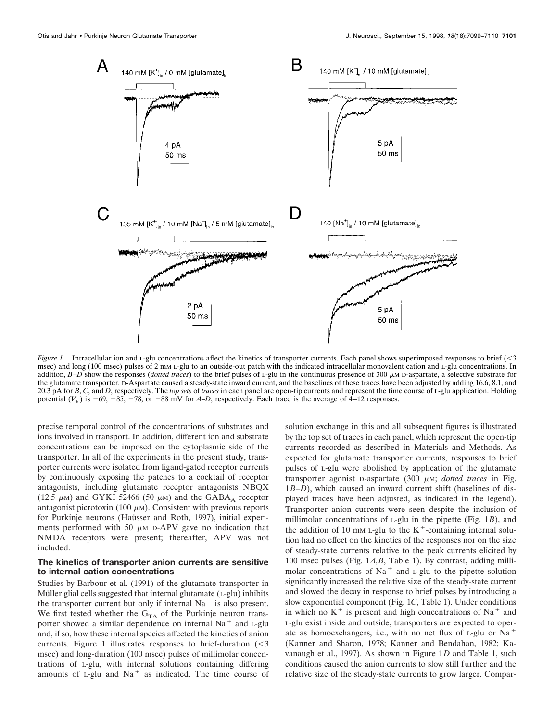

*Figure 1.* Intracellular ion and L-glu concentrations affect the kinetics of transporter currents. Each panel shows superimposed responses to brief  $\langle$   $\langle$  3 msec) and long (100 msec) pulses of 2 mM L-glu to an outside-out patch with the indicated intracellular monovalent cation and L-glu concentrations. In addition,  $B-D$  show the responses (*dotted traces*) to the brief pulses of L-glu in the continuous presence of 300  $\mu$ M D-aspartate, a selective substrate for the glutamate transporter. D-Aspartate caused a steady-state inward current, and the baselines of these traces have been adjusted by adding 16.6, 8.1, and 20.3 pA for *B*, *C*, and *D*, respectively. The *top sets* of *traces* in each panel are open-tip currents and represent the time course of L-glu application. Holding potential  $(V_h)$  is  $-69$ ,  $-85$ ,  $-78$ , or  $-88$  mV for *A–D*, respectively. Each trace is the average of  $4$ –12 responses.

precise temporal control of the concentrations of substrates and ions involved in transport. In addition, different ion and substrate concentrations can be imposed on the cytoplasmic side of the transporter. In all of the experiments in the present study, transporter currents were isolated from ligand-gated receptor currents by continuously exposing the patches to a cocktail of receptor antagonists, including glutamate receptor antagonists NBQX (12.5  $\mu$ M) and GYKI 52466 (50  $\mu$ M) and the GABA<sub>A</sub> receptor antagonist picrotoxin (100  $\mu$ M). Consistent with previous reports for Purkinje neurons (Haüsser and Roth, 1997), initial experiments performed with 50  $\mu$ M D-APV gave no indication that NMDA receptors were present; thereafter, APV was not included.

# **The kinetics of transporter anion currents are sensitive to internal cation concentrations**

Studies by Barbour et al. (1991) of the glutamate transporter in Müller glial cells suggested that internal glutamate  $(L-glu)$  inhibits the transporter current but only if internal  $Na<sup>+</sup>$  is also present. We first tested whether the  $G<sub>TA</sub>$  of the Purkinje neuron transporter showed a similar dependence on internal  $Na<sup>+</sup>$  and  $L-glu$ and, if so, how these internal species affected the kinetics of anion currents. Figure 1 illustrates responses to brief-duration  $\approx$ msec) and long-duration (100 msec) pulses of millimolar concentrations of L-glu, with internal solutions containing differing amounts of  $L-glu$  and  $Na<sup>+</sup>$  as indicated. The time course of solution exchange in this and all subsequent figures is illustrated by the top set of traces in each panel, which represent the open-tip currents recorded as described in Materials and Methods. As expected for glutamate transporter currents, responses to brief pulses of L-glu were abolished by application of the glutamate transporter agonist D-aspartate (300  $\mu$ M; *dotted traces* in Fig. 1*B–D*), which caused an inward current shift (baselines of displayed traces have been adjusted, as indicated in the legend). Transporter anion currents were seen despite the inclusion of millimolar concentrations of L-glu in the pipette (Fig. 1*B*), and the addition of 10 mm L-glu to the  $K^+$ -containing internal solution had no effect on the kinetics of the responses nor on the size of steady-state currents relative to the peak currents elicited by 100 msec pulses (Fig. 1*A,B*, Table 1). By contrast, adding millimolar concentrations of  $Na<sup>+</sup>$  and L-glu to the pipette solution significantly increased the relative size of the steady-state current and slowed the decay in response to brief pulses by introducing a slow exponential component (Fig. 1*C*, Table 1). Under conditions in which no  $K^+$  is present and high concentrations of Na<sup>+</sup> and L-glu exist inside and outside, transporters are expected to operate as homoexchangers, i.e., with no net flux of  $L$ -glu or  $Na<sup>+</sup>$ (Kanner and Sharon, 1978; Kanner and Bendahan, 1982; Kavanaugh et al., 1997). As shown in Figure 1*D* and Table 1, such conditions caused the anion currents to slow still further and the relative size of the steady-state currents to grow larger. Compar-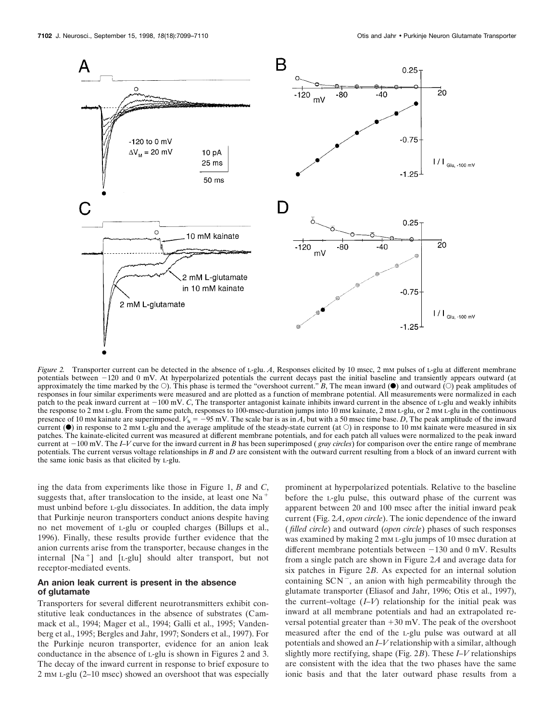

*Figure 2.* Transporter current can be detected in the absence of L-glu. *A*, Responses elicited by 10 msec, 2 mm pulses of L-glu at different membrane potentials between -120 and 0 mV. At hyperpolarized potentials the current decays past the initial baseline and transiently appears outward (at approximately the time marked by the  $\circlearrowleft$ ). This phase is termed the "overshoot current." *B*, The mean inward ( $\circlearrowleft$ ) and outward ( $\circlearrowright$ ) peak amplitudes of responses in four similar experiments were measured and are plotted as a function of membrane potential. All measurements were normalized in each patch to the peak inward current at  $-100$  mV. *C*, The transporter antagonist kainate inhibits inward current in the absence of L-glu and weakly inhibits the response to 2 mM L-glu. From the same patch, responses to 100-msec-duration jumps into 10 mM kainate, 2 mM L-glu, or 2 mM L-glu in the continuous presence of 10 mM kainate are superimposed.  $V<sub>h</sub> = -95$  mV. The scale bar is as in *A*, but with a 50 msec time base. *D*, The peak amplitude of the inward current ( $\bullet$ ) in response to 2 mM L-glu and the average amplitude of the steady-state current (at  $\circ$ ) in response to 10 mM kainate were measured in six patches. The kainate-elicited current was measured at different membrane potentials, and for each patch all values were normalized to the peak inward current at 2100 mV. The *I–V* curve for the inward current in *B* has been superimposed ( *gray circles*) for comparison over the entire range of membrane potentials. The current versus voltage relationships in *B* and *D* are consistent with the outward current resulting from a block of an inward current with the same ionic basis as that elicited by L-glu.

ing the data from experiments like those in Figure 1, *B* and *C*, suggests that, after translocation to the inside, at least one  $Na<sup>+</sup>$ must unbind before L-glu dissociates. In addition, the data imply that Purkinje neuron transporters conduct anions despite having no net movement of L-glu or coupled charges (Billups et al., 1996). Finally, these results provide further evidence that the anion currents arise from the transporter, because changes in the internal [Na<sup>+</sup>] and [L-glu] should alter transport, but not receptor-mediated events.

#### **An anion leak current is present in the absence of glutamate**

Transporters for several different neurotransmitters exhibit constitutive leak conductances in the absence of substrates (Cammack et al., 1994; Mager et al., 1994; Galli et al., 1995; Vandenberg et al., 1995; Bergles and Jahr, 1997; Sonders et al., 1997). For the Purkinje neuron transporter, evidence for an anion leak conductance in the absence of L-glu is shown in Figures 2 and 3. The decay of the inward current in response to brief exposure to 2 mM L-glu (2–10 msec) showed an overshoot that was especially

prominent at hyperpolarized potentials. Relative to the baseline before the L-glu pulse, this outward phase of the current was apparent between 20 and 100 msec after the initial inward peak current (Fig. 2*A*, *open circle*). The ionic dependence of the inward ( *filled circle*) and outward (*open circle*) phases of such responses was examined by making 2 mm L-glu jumps of 10 msec duration at different membrane potentials between  $-130$  and 0 mV. Results from a single patch are shown in Figure 2*A* and average data for six patches in Figure 2*B*. As expected for an internal solution containing  $SCN^{-}$ , an anion with high permeability through the glutamate transporter (Eliasof and Jahr, 1996; Otis et al., 1997), the current–voltage (*I–V*) relationship for the initial peak was inward at all membrane potentials and had an extrapolated reversal potential greater than  $+30$  mV. The peak of the overshoot measured after the end of the L-glu pulse was outward at all potentials and showed an *I–V* relationship with a similar, although slightly more rectifying, shape (Fig. 2*B*). These *I–V* relationships are consistent with the idea that the two phases have the same ionic basis and that the later outward phase results from a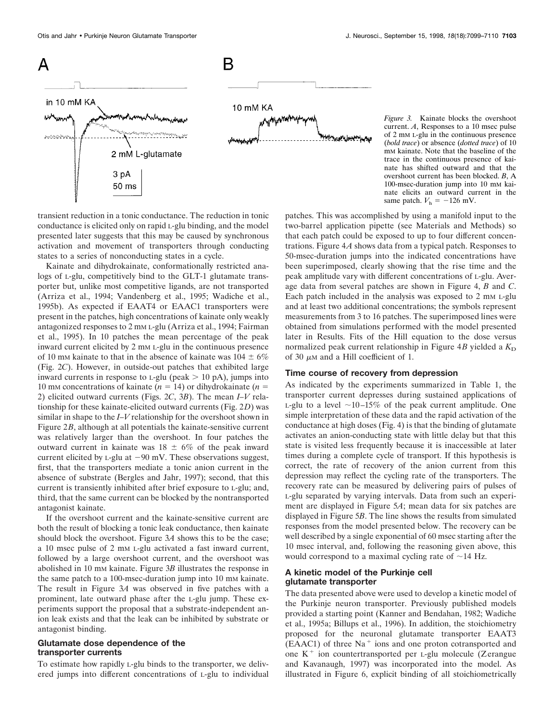

transient reduction in a tonic conductance. The reduction in tonic conductance is elicited only on rapid L-glu binding, and the model presented later suggests that this may be caused by synchronous activation and movement of transporters through conducting states to a series of nonconducting states in a cycle.

Kainate and dihydrokainate, conformationally restricted analogs of L-glu, competitively bind to the GLT-1 glutamate transporter but, unlike most competitive ligands, are not transported (Arriza et al., 1994; Vandenberg et al., 1995; Wadiche et al., 1995b). As expected if EAAT4 or EAAC1 transporters were present in the patches, high concentrations of kainate only weakly antagonized responses to 2 mM L-glu (Arriza et al., 1994; Fairman et al., 1995). In 10 patches the mean percentage of the peak inward current elicited by 2 mm L-glu in the continuous presence of 10 mm kainate to that in the absence of kainate was  $104 \pm 6\%$ (Fig. 2*C*). However, in outside-out patches that exhibited large inward currents in response to  $L-glu$  (peak  $> 10$  pA), jumps into 10 mm concentrations of kainate  $(n = 14)$  or dihydrokainate  $(n = 16)$ 2) elicited outward currents (Figs. 2*C*, 3*B*). The mean *I–V* relationship for these kainate-elicited outward currents (Fig. 2*D*) was similar in shape to the *I–V* relationship for the overshoot shown in Figure 2*B*, although at all potentials the kainate-sensitive current was relatively larger than the overshoot. In four patches the outward current in kainate was  $18 \pm 6\%$  of the peak inward current elicited by  $L$ -glu at  $-90$  mV. These observations suggest, first, that the transporters mediate a tonic anion current in the absence of substrate (Bergles and Jahr, 1997); second, that this current is transiently inhibited after brief exposure to L-glu; and, third, that the same current can be blocked by the nontransported antagonist kainate.

If the overshoot current and the kainate-sensitive current are both the result of blocking a tonic leak conductance, then kainate should block the overshoot. Figure 3*A* shows this to be the case; a 10 msec pulse of 2 mM L-glu activated a fast inward current, followed by a large overshoot current, and the overshoot was abolished in 10 mM kainate. Figure 3*B* illustrates the response in the same patch to a 100-msec-duration jump into 10 mm kainate. The result in Figure 3*A* was observed in five patches with a prominent, late outward phase after the L-glu jump. These experiments support the proposal that a substrate-independent anion leak exists and that the leak can be inhibited by substrate or antagonist binding.

# **Glutamate dose dependence of the transporter currents**

To estimate how rapidly L-glu binds to the transporter, we delivered jumps into different concentrations of L-glu to individual patches. This was accomplished by using a manifold input to the two-barrel application pipette (see Materials and Methods) so that each patch could be exposed to up to four different concentrations. Figure 4*A* shows data from a typical patch. Responses to 50-msec-duration jumps into the indicated concentrations have been superimposed, clearly showing that the rise time and the peak amplitude vary with different concentrations of L-glu. Average data from several patches are shown in Figure 4, *B* and *C*. Each patch included in the analysis was exposed to 2 mm L-glu and at least two additional concentrations; the symbols represent measurements from 3 to 16 patches. The superimposed lines were obtained from simulations performed with the model presented later in Results. Fits of the Hill equation to the dose versus normalized peak current relationship in Figure  $4B$  yielded a  $K<sub>D</sub>$ of 30  $\mu$ M and a Hill coefficient of 1.

#### **Time course of recovery from depression**

As indicated by the experiments summarized in Table 1, the transporter current depresses during sustained applications of L-glu to a level  $\sim$ 10–15% of the peak current amplitude. One simple interpretation of these data and the rapid activation of the conductance at high doses (Fig. 4) is that the binding of glutamate activates an anion-conducting state with little delay but that this state is visited less frequently because it is inaccessible at later times during a complete cycle of transport. If this hypothesis is correct, the rate of recovery of the anion current from this depression may reflect the cycling rate of the transporters. The recovery rate can be measured by delivering pairs of pulses of L-glu separated by varying intervals. Data from such an experiment are displayed in Figure 5*A*; mean data for six patches are displayed in Figure 5*B*. The line shows the results from simulated responses from the model presented below. The recovery can be well described by a single exponential of 60 msec starting after the 10 msec interval, and, following the reasoning given above, this would correspond to a maximal cycling rate of  $\sim$ 14 Hz.

# **A kinetic model of the Purkinje cell glutamate transporter**

The data presented above were used to develop a kinetic model of the Purkinje neuron transporter. Previously published models provided a starting point (Kanner and Bendahan, 1982; Wadiche et al., 1995a; Billups et al., 1996). In addition, the stoichiometry proposed for the neuronal glutamate transporter EAAT3  $(EAAC1)$  of three Na<sup>+</sup> ions and one proton cotransported and one  $K^+$  ion countertransported per L-glu molecule (Zerangue and Kavanaugh, 1997) was incorporated into the model. As illustrated in Figure 6, explicit binding of all stoichiometrically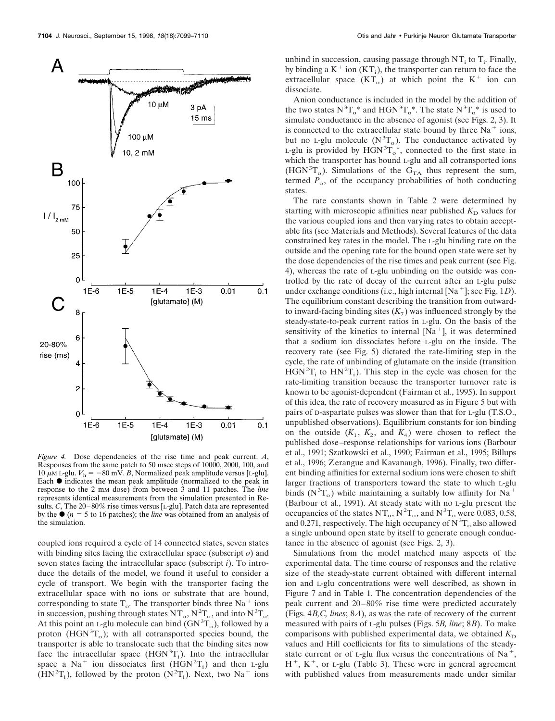

*Figure 4.* Dose dependencies of the rise time and peak current. *A*, Responses from the same patch to 50 msec steps of 10000, 2000, 100, and 10  $\mu$ M L-glu.  $V_h = -80$  mV. *B*, Normalized peak amplitude versus [L-glu]. Each  $\bullet$  indicates the mean peak amplitude (normalized to the peak in response to the 2 mM dose) from between 3 and 11 patches. The *line* represents identical measurements from the simulation presented in Results. *C*, The 20–80% rise times versus [L-glu]. Patch data are represented by the  $\bullet$  ( $n = 5$  to 16 patches); the *line* was obtained from an analysis of the simulation.

coupled ions required a cycle of 14 connected states, seven states with binding sites facing the extracellular space (subscript *o*) and seven states facing the intracellular space (subscript *i*). To introduce the details of the model, we found it useful to consider a cycle of transport. We begin with the transporter facing the extracellular space with no ions or substrate that are bound, corresponding to state  $T_o$ . The transporter binds three Na<sup>+</sup> ions in succession, pushing through states  $NT_0$ ,  $N^2T_0$ , and into  $N^3T_0$ . At this point an  $L$ -glu molecule can bind  $(GN^{3}T_{o})$ , followed by a proton  $(HGN^{3}T_{o})$ ; with all cotransported species bound, the transporter is able to translocate such that the binding sites now face the intracellular space  $(HGN^{3}T_{i})$ . Into the intracellular space a Na<sup>+</sup> ion dissociates first  $(HGN<sup>2</sup>T<sub>i</sub>)$  and then L-glu  $(HN<sup>2</sup>T<sub>i</sub>)$ , followed by the proton  $(N<sup>2</sup>T<sub>i</sub>)$ . Next, two Na<sup>+</sup> ions

unbind in succession, causing passage through  $NT_i$  to  $T_i$ . Finally, by binding a  $K^+$  ion  $(KT_i)$ , the transporter can return to face the extracellular space  $(KT_0)$  at which point the  $K^+$  ion can dissociate.

Anion conductance is included in the model by the addition of the two states  $N^3T_o^*$  and HGN<sup>3</sup> $T_o^*$ . The state  $N^3T_o^*$  is used to simulate conductance in the absence of agonist (see Figs. 2, 3). It is connected to the extracellular state bound by three  $Na<sup>+</sup>$  ions, but no L-glu molecule  $(N^3T_0)$ . The conductance activated by L-glu is provided by  $HGN^3T_o^*$ , connected to the first state in which the transporter has bound L-glu and all cotransported ions (HGN<sup>3</sup>T<sub>o</sub>). Simulations of the G<sub>TA</sub> thus represent the sum, termed  $P_0$ , of the occupancy probabilities of both conducting states.

The rate constants shown in Table 2 were determined by starting with microscopic affinities near published  $K<sub>D</sub>$  values for the various coupled ions and then varying rates to obtain acceptable fits (see Materials and Methods). Several features of the data constrained key rates in the model. The L-glu binding rate on the outside and the opening rate for the bound open state were set by the dose dependencies of the rise times and peak current (see Fig. 4), whereas the rate of L-glu unbinding on the outside was controlled by the rate of decay of the current after an L-glu pulse under exchange conditions (i.e., high internal [Na<sup>+</sup>]; see Fig. 1*D*). The equilibrium constant describing the transition from outwardto inward-facing binding sites  $(K_7)$  was influenced strongly by the steady-state-to-peak current ratios in L-glu. On the basis of the sensitivity of the kinetics to internal  $[Na<sup>+</sup>]$ , it was determined that a sodium ion dissociates before L-glu on the inside. The recovery rate (see Fig. 5) dictated the rate-limiting step in the cycle, the rate of unbinding of glutamate on the inside (transition  $HGN^{2}T_{i}$  to  $HN^{2}T_{i}$ ). This step in the cycle was chosen for the rate-limiting transition because the transporter turnover rate is known to be agonist-dependent (Fairman et al., 1995). In support of this idea, the rate of recovery measured as in Figure 5 but with pairs of D-aspartate pulses was slower than that for L-glu (T.S.O., unpublished observations). Equilibrium constants for ion binding on the outside  $(K_1, K_2,$  and  $K_4$ ) were chosen to reflect the published dose–response relationships for various ions (Barbour et al., 1991; Szatkowski et al., 1990; Fairman et al., 1995; Billups et al., 1996; Zerangue and Kavanaugh, 1996). Finally, two different binding affinities for external sodium ions were chosen to shift larger fractions of transporters toward the state to which L-glu binds ( $N^3T_0$ ) while maintaining a suitably low affinity for Na<sup>+</sup> (Barbour et al., 1991). At steady state with no L-glu present the occupancies of the states  $NT_0$ ,  $N^2T_0$ , and  $N^3T_0$  were 0.083, 0.58, and 0.271, respectively. The high occupancy of  $N^3T_0$  also allowed a single unbound open state by itself to generate enough conductance in the absence of agonist (see Figs. 2, 3).

Simulations from the model matched many aspects of the experimental data. The time course of responses and the relative size of the steady-state current obtained with different internal ion and L-glu concentrations were well described, as shown in Figure 7 and in Table 1. The concentration dependencies of the peak current and 20–80% rise time were predicted accurately (Figs. 4*B,C, lines*; 8*A*), as was the rate of recovery of the current measured with pairs of L-glu pulses (Figs. 5*B, line*; 8*B*). To make comparisons with published experimental data, we obtained  $K<sub>D</sub>$ values and Hill coefficients for fits to simulations of the steadystate current or of L-glu flux versus the concentrations of Na<sup>+</sup>,  $H^+$ ,  $K^+$ , or *L*-glu (Table 3). These were in general agreement with published values from measurements made under similar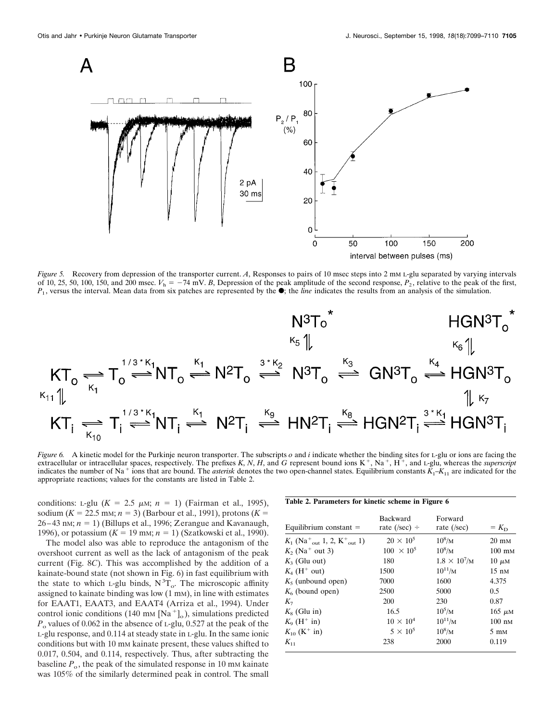

*Figure 5.* Recovery from depression of the transporter current. *A*, Responses to pairs of 10 msec steps into 2 mM L-glu separated by varying intervals of 10, 25, 50, 100, 150, and 200 msec.  $V_h = -74$  mV. *B*, Depression of the peak amplitude of the second response,  $P_2$ , relative to the peak of the first,  $P_1$ , versus the interval. Mean data from six patches are represented by the  $\bullet$ ; the *line* indicates the results from an analysis of the simulation.

$$
\begin{array}{ccc}\n&\text{N}^3\text{T}_o^* &\text{HGN}^3\text{T}_o^* \\
&\kappa_5\text{ }\uparrow &\kappa_6\text{ }\uparrow &\kappa_6\text{ }\uparrow \\
&\text{KT}_o\rightleftharpoons \text{T}_o\stackrel{\text{1/3*K}_1}{\rightleftharpoons} \text{NT}_o\stackrel{\kappa_1}{\rightleftharpoons} \text{N}^2\text{T}_o \stackrel{\text{3*K}_2}{\rightleftharpoons} \text{N}^3\text{T}_o \stackrel{\kappa_3}{\rightleftharpoons} \text{GN}^3\text{T}_o \stackrel{\kappa_4}{\rightleftharpoons} \text{HGN}^3\text{T}_o \\
&\text{KT}_i\rightleftharpoons \text{T}_i\stackrel{\text{1/3*K}_1}{\rightleftharpoons} \text{NT}_i\stackrel{\kappa_1}{\rightleftharpoons} \text{N}^2\text{T}_i \stackrel{\kappa_9}{\rightleftharpoons} \text{HNP}^7_i\stackrel{\kappa_8}{\rightleftharpoons} \text{HGN}^2\text{T}_i\stackrel{\text{3*K}_1}{\rightleftharpoons} \text{HGN}^3\text{T}_i\n\end{array}
$$

*Figure 6.* A kinetic model for the Purkinje neuron transporter. The subscripts *o* and *i* indicate whether the binding sites for L-glu or ions are facing the extracellular or intracellular spaces, respectively. The prefixes *K*, *N*, *H*, and *G* represent bound ions  $K^+$ ,  $Na^+$ ,  $H^+$ , and *L*-glu, whereas the *superscript* indicates the number of Na<sup>+</sup> ions that are bound. The *asterisk* denotes the two open-channel states. Equilibrium constants  $\bar{K}_1 - K_{11}$  are indicated for the appropriate reactions; values for the constants are listed in Table 2.

conditions: L-glu  $(K = 2.5 \mu\text{m}; n = 1)$  (Fairman et al., 1995), sodium ( $K = 22.5$  mm;  $n = 3$ ) (Barbour et al., 1991), protons ( $K =$  $26-43$  nm;  $n = 1$ ) (Billups et al., 1996; Zerangue and Kavanaugh, 1996), or potassium  $(K = 19 \text{ mm}; n = 1)$  (Szatkowski et al., 1990).

The model also was able to reproduce the antagonism of the overshoot current as well as the lack of antagonism of the peak current (Fig. 8*C*). This was accomplished by the addition of a kainate-bound state (not shown in Fig. 6) in fast equilibrium with the state to which L-glu binds,  $N^3T_0$ . The microscopic affinity assigned to kainate binding was low (1 mM), in line with estimates for EAAT1, EAAT3, and EAAT4 (Arriza et al., 1994). Under control ionic conditions (140 mm [Na<sup>+</sup>]<sub>o</sub>), simulations predicted  $P<sub>o</sub>$  values of 0.062 in the absence of L-glu, 0.527 at the peak of the L-glu response, and 0.114 at steady state in L-glu. In the same ionic conditions but with 10 mm kainate present, these values shifted to 0.017, 0.504, and 0.114, respectively. Thus, after subtracting the baseline  $P_{\text{o}}$ , the peak of the simulated response in 10 mm kainate was 105% of the similarly determined peak in control. The small

#### **Table 2. Parameters for kinetic scheme in Figure 6**

| Equilibrium constant $=$                                                     | Backward<br>rate (/sec) ÷ | Forward<br>rate $($ /sec $)$ | $= K_{\rm D}$    |
|------------------------------------------------------------------------------|---------------------------|------------------------------|------------------|
| $K_1$ (Na <sup>+</sup> <sub>out</sub> 1, 2, K <sup>+</sup> <sub>out</sub> 1) | $20 \times 10^5$          | $10^8/M$                     | $20 \text{ mM}$  |
| $K_2$ (Na <sup>+</sup> out 3)                                                | $100 \times 10^5$         | $10^8/M$                     | $100 \text{ mM}$ |
| $K_3$ (Glu out)                                                              | 180                       | $1.8 \times 10^{7}$ /M       | $10 \mu M$       |
| $K_4$ (H <sup>+</sup> out)                                                   | 1500                      | $10^{11}$ /M                 | $15 \text{ nm}$  |
| $K5$ (unbound open)                                                          | 7000                      | 1600                         | 4.375            |
| $K_6$ (bound open)                                                           | 2500                      | 5000                         | 0.5              |
| $K_{\tau}$                                                                   | 200                       | 230                          | 0.87             |
| $K_8$ (Glu in)                                                               | 16.5                      | $10^{5}/M$                   | $165 \mu M$      |
| $K_0$ (H <sup>+</sup> in)                                                    | $10 \times 10^4$          | $10^{11}$ /M                 | $100 \text{ nm}$ |
| $K_{10}$ (K <sup>+</sup> in)                                                 | $5 \times 10^5$           | $10^8/M$                     | $5 \text{ mM}$   |
| $K_{11}$                                                                     | 238                       | 2000                         | 0.119            |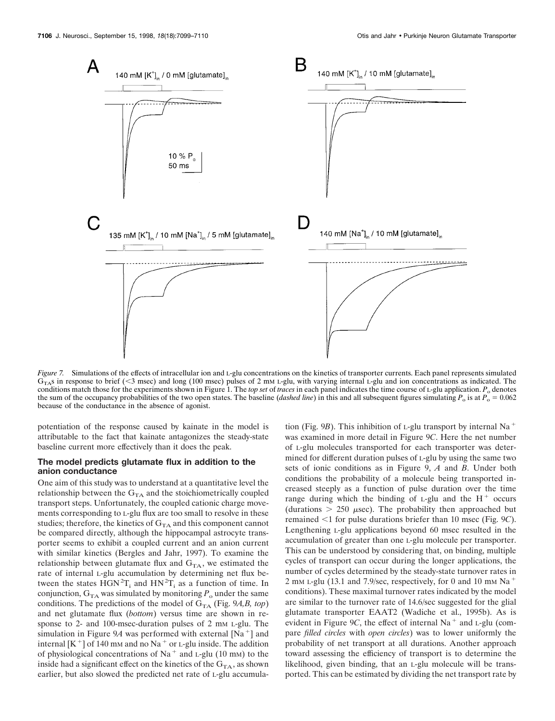

*Figure 7.* Simulations of the effects of intracellular ion and L-glu concentrations on the kinetics of transporter currents. Each panel represents simulated  $G<sub>T</sub>$ s in response to brief (<3 msec) and long (100 msec) pulses of 2 mM L-glu, with varying internal L-glu and ion concentrations as indicated. The conditions match those for the experiments shown in Figure 1. The *top set* of *traces* in each panel indicates the time course of L-glu application.  $P_0$  denotes the sum of the occupancy probabilities of the two open states. The baseline (*dashed line*) in this and all subsequent figures simulating  $P_0$  is at  $P_0 = 0.062$ because of the conductance in the absence of agonist.

potentiation of the response caused by kainate in the model is attributable to the fact that kainate antagonizes the steady-state baseline current more effectively than it does the peak.

### **The model predicts glutamate flux in addition to the anion conductance**

One aim of this study was to understand at a quantitative level the relationship between the  $G<sub>TA</sub>$  and the stoichiometrically coupled transport steps. Unfortunately, the coupled cationic charge movements corresponding to L-glu flux are too small to resolve in these studies; therefore, the kinetics of  $G<sub>TA</sub>$  and this component cannot be compared directly, although the hippocampal astrocyte transporter seems to exhibit a coupled current and an anion current with similar kinetics (Bergles and Jahr, 1997). To examine the relationship between glutamate flux and  $G<sub>TA</sub>$ , we estimated the rate of internal L-glu accumulation by determining net flux between the states  $\text{HGN}^2\text{T}_i$  and  $\text{HN}^2\text{T}_i$  as a function of time. In conjunction,  $G_{TA}$  was simulated by monitoring  $P_o$  under the same conditions. The predictions of the model of  $G_{TA}$  (Fig. 9*A,B, top*) and net glutamate flux (*bottom*) versus time are shown in response to 2- and 100-msec-duration pulses of 2 mm L-glu. The simulation in Figure 9A was performed with external  $[Na^+]$  and internal  $[K^+]$  of 140 mm and no Na<sup>+</sup> or L-glu inside. The addition of physiological concentrations of Na<sup>+</sup> and L-glu (10 mm) to the inside had a significant effect on the kinetics of the  $G<sub>TA</sub>$ , as shown earlier, but also slowed the predicted net rate of L-glu accumula-

tion (Fig. 9*B*). This inhibition of *L*-glu transport by internal Na<sup>+</sup> was examined in more detail in Figure 9*C*. Here the net number of L-glu molecules transported for each transporter was determined for different duration pulses of L-glu by using the same two sets of ionic conditions as in Figure 9, *A* and *B*. Under both conditions the probability of a molecule being transported increased steeply as a function of pulse duration over the time range during which the binding of  $L$ -glu and the  $H^+$  occurs (durations  $> 250$   $\mu$ sec). The probability then approached but remained <1 for pulse durations briefer than 10 msec (Fig. 9*C*). Lengthening L-glu applications beyond 60 msec resulted in the accumulation of greater than one L-glu molecule per transporter. This can be understood by considering that, on binding, multiple cycles of transport can occur during the longer applications, the number of cycles determined by the steady-state turnover rates in 2 mm L-glu (13.1 and 7.9/sec, respectively, for 0 and 10 mm  $\text{Na}^+$ conditions). These maximal turnover rates indicated by the model are similar to the turnover rate of 14.6/sec suggested for the glial glutamate transporter EAAT2 (Wadiche et al., 1995b). As is evident in Figure 9*C*, the effect of internal Na<sup> $+$ </sup> and L-glu (compare *filled circles* with *open circles*) was to lower uniformly the probability of net transport at all durations. Another approach toward assessing the efficiency of transport is to determine the likelihood, given binding, that an L-glu molecule will be transported. This can be estimated by dividing the net transport rate by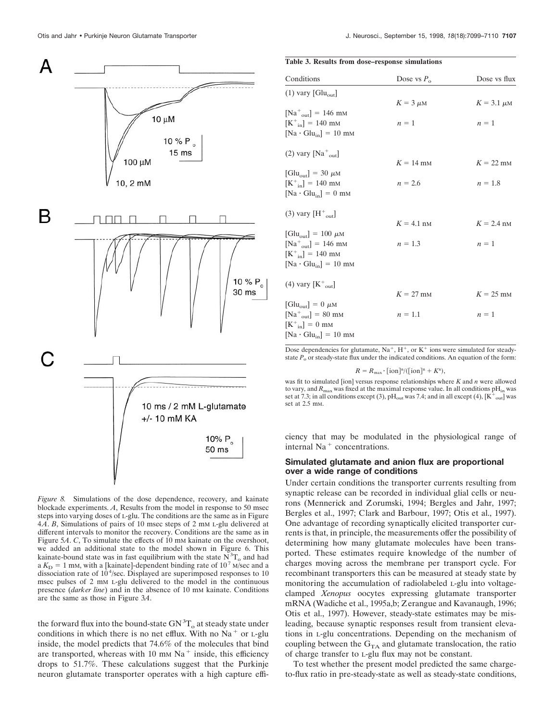

*Figure 8.* Simulations of the dose dependence, recovery, and kainate blockade experiments. *A*, Results from the model in response to 50 msec steps into varying doses of L-glu. The conditions are the same as in Figure 4*A*. *B*, Simulations of pairs of 10 msec steps of 2 mM L-glu delivered at different intervals to monitor the recovery. Conditions are the same as in Figure 5*A*. *C*, To simulate the effects of 10 mm kainate on the overshoot, we added an additional state to the model shown in Figure 6. This kainate-bound state was in fast equilibrium with the state  $\overline{N}_0^3T_0$  and had a  $K<sub>D</sub> = 1$  mM, with a [kainate]-dependent binding rate of 10<sup>7</sup> M/sec and a dissociation rate of  $10^4$ /sec. Displayed are superimposed responses to 10 msec pulses of 2 mM L-glu delivered to the model in the continuous presence (*darker line*) and in the absence of 10 mM kainate. Conditions are the same as those in Figure 3*A*.

the forward flux into the bound-state  $GN^3T_{o}$  at steady state under conditions in which there is no net efflux. With no  $Na<sup>+</sup>$  or L-glu inside, the model predicts that 74.6% of the molecules that bind are transported, whereas with 10 mm  $Na<sup>+</sup>$  inside, this efficiency drops to 51.7%. These calculations suggest that the Purkinje neuron glutamate transporter operates with a high capture effi-

#### **Table 3. Results from dose–response simulations**

| Conditions                                                                | Dose vs $P_{\alpha}$ | Dose vs flux    |
|---------------------------------------------------------------------------|----------------------|-----------------|
| $(1)$ vary $\lceil Glu_{out} \rceil$                                      | $K = 3 \mu M$        | $K = 3.1 \mu M$ |
| $[Na^+_{out}] = 146$ mM                                                   |                      |                 |
| $[K^+] = 140$ mM                                                          | $n=1$                | $n=1$           |
| $[Na \cdot Glu_{in}] = 10$ mm                                             |                      |                 |
| $(2)$ vary $[Na+out]$                                                     |                      |                 |
|                                                                           | $K = 14$ mm          | $K = 22$ mm     |
| $\text{[Glu}_{\text{out}}$ = 30 $\mu$ M<br>$[K^+_{in}] = 140$ mM          | $n = 2.6$            | $n = 1.8$       |
| $[Na \cdot Glu_{in}] = 0$ mm                                              |                      |                 |
| $(3)$ vary $[H^+_{\text{out}}]$                                           |                      |                 |
|                                                                           | $K = 4.1$ nM         | $K = 2.4$ nM    |
| $\text{[Glu}_{\text{out}}] = 100 \mu \text{m}$<br>$[Na^+_{out}] = 146$ mM | $n = 1.3$            | $n=1$           |
| $[K^+_{in}] = 140$ mM                                                     |                      |                 |
| $[Na \cdot Glu_{in}] = 10$ mm                                             |                      |                 |
| (4) vary $[K^+_{out}]$                                                    |                      |                 |
|                                                                           | $K = 27$ mm          | $K = 25$ mm     |
| $[\text{Glu}_{\text{out}}] = 0 \mu M$                                     |                      |                 |
| $[Na^+_{out}] = 80$ mM                                                    | $n = 1.1$            | $n=1$           |
| $[K^+_{in}] = 0$ mm                                                       |                      |                 |
| $[Na \cdot Glu_{in}] = 10$ mm                                             |                      |                 |

Dose dependencies for glutamate,  $Na^+$ ,  $H^+$ , or  $K^+$  ions were simulated for steadystate  $P_{\text{o}}$  or steady-state flux under the indicated conditions. An equation of the form:

 $R = R_{\text{max}} \cdot \text{[ion]}^n / (\text{[ion]}^n + K^n),$ 

was fit to simulated [ion] versus response relationships where *K* and *n* were allowed to vary, and  $R_{\text{max}}$  was fixed at the maximal response value. In all conditions  $pH_{\text{in}}$  was set at 7.3; in all conditions except (3), pH<sub>out</sub> was 7.4; and in all except (4),  $[K^{\hat{+}}_{\text{out}}]$  was set at 2.5 mm.

ciency that may be modulated in the physiological range of internal  $Na<sup>+</sup>$  concentrations.

### **Simulated glutamate and anion flux are proportional over a wide range of conditions**

Under certain conditions the transporter currents resulting from synaptic release can be recorded in individual glial cells or neurons (Mennerick and Zorumski, 1994; Bergles and Jahr, 1997; Bergles et al., 1997; Clark and Barbour, 1997; Otis et al., 1997). One advantage of recording synaptically elicited transporter currents is that, in principle, the measurements offer the possibility of determining how many glutamate molecules have been transported. These estimates require knowledge of the number of charges moving across the membrane per transport cycle. For recombinant transporters this can be measured at steady state by monitoring the accumulation of radiolabeled L-glu into voltageclamped *Xenopus* oocytes expressing glutamate transporter mRNA (Wadiche et al., 1995a,b; Zerangue and Kavanaugh, 1996; Otis et al., 1997). However, steady-state estimates may be misleading, because synaptic responses result from transient elevations in L-glu concentrations. Depending on the mechanism of coupling between the  $G_{TA}$  and glutamate translocation, the ratio of charge transfer to L-glu flux may not be constant.

To test whether the present model predicted the same chargeto-flux ratio in pre-steady-state as well as steady-state conditions,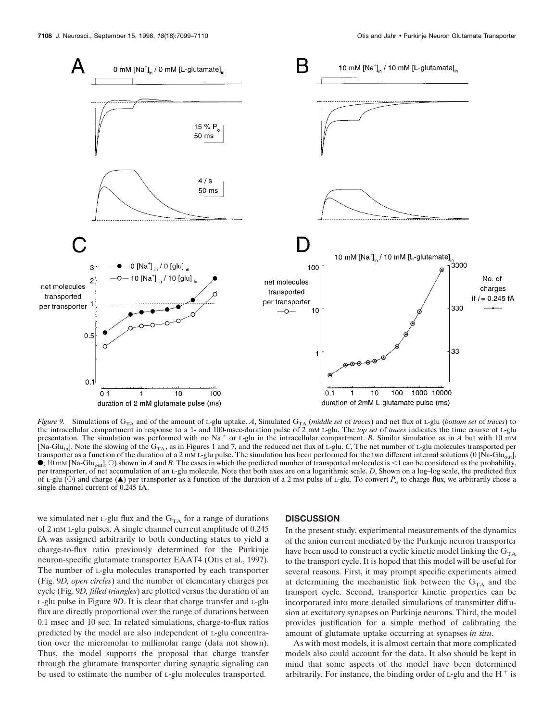

*Figure 9.* Simulations of G<sub>TA</sub> and of the amount of L-glu uptake. A, Simulated G<sub>TA</sub> (*middle set* of *traces*) and net flux of L-glu (*bottom set* of *traces*) to the intracellular compartment in response to a 1- and 100-msec-duration pulse of 2 mM L-glu. The *top set* of *traces* indicates the time course of L-glu presentation. The simulation was performed with no Na<sup>+</sup> or L-glu in the intracellular compartment. *B*, Similar simulation as in *A* but with 10 mm [Na-Glu<sub>in</sub>]. Note the slowing of the  $G_{T\text{A}}$ , as in Figures 1 and 7, and the reduced net flux of L-glu. *C*, The net number of L-glu molecules transported per transporter as a function of the duration of a 2 mM L-glu pulse. The simulation has been performed for the two different internal solutions (0 [Na-Gluout],  $\bullet$ ; 10 mm [Na-Glu<sub>out</sub>],  $\circ$ ) shown in *A* and *B*. The cases in which the predicted number of transported molecules is <1 can be considered as the probability, per transporter, of net accumulation of an L-glu molecule. Note that both axes are on a logarithmic scale. *D*, Shown on a log–log scale, the predicted flux of L-glu ( $\odot$ ) and charge ( $\blacktriangle$ ) per transporter as a function of the duration of a 2 mM pulse of L-glu. To convert  $P_0$  to charge flux, we arbitrarily chose a single channel current of 0.245 fA.

we simulated net L-glu flux and the  $G<sub>TA</sub>$  for a range of durations of 2 mM L-glu pulses. A single channel current amplitude of 0.245 fA was assigned arbitrarily to both conducting states to yield a charge-to-flux ratio previously determined for the Purkinje neuron-specific glutamate transporter EAAT4 (Otis et al., 1997). The number of L-glu molecules transported by each transporter (Fig. 9*D, open circles*) and the number of elementary charges per cycle (Fig. 9*D, filled triangles*) are plotted versus the duration of an L-glu pulse in Figure 9*D*. It is clear that charge transfer and L-glu flux are directly proportional over the range of durations between 0.1 msec and 10 sec. In related simulations, charge-to-flux ratios predicted by the model are also independent of L-glu concentration over the micromolar to millimolar range (data not shown). Thus, the model supports the proposal that charge transfer through the glutamate transporter during synaptic signaling can be used to estimate the number of L-glu molecules transported.

#### **DISCUSSION**

In the present study, experimental measurements of the dynamics of the anion current mediated by the Purkinje neuron transporter have been used to construct a cyclic kinetic model linking the  $G<sub>TA</sub>$ to the transport cycle. It is hoped that this model will be useful for several reasons. First, it may prompt specific experiments aimed at determining the mechanistic link between the  $G<sub>TA</sub>$  and the transport cycle. Second, transporter kinetic properties can be incorporated into more detailed simulations of transmitter diffusion at excitatory synapses on Purkinje neurons. Third, the model provides justification for a simple method of calibrating the amount of glutamate uptake occurring at synapses *in situ*.

As with most models, it is almost certain that more complicated models also could account for the data. It also should be kept in mind that some aspects of the model have been determined arbitrarily. For instance, the binding order of  $L$ -glu and the  $H^+$  is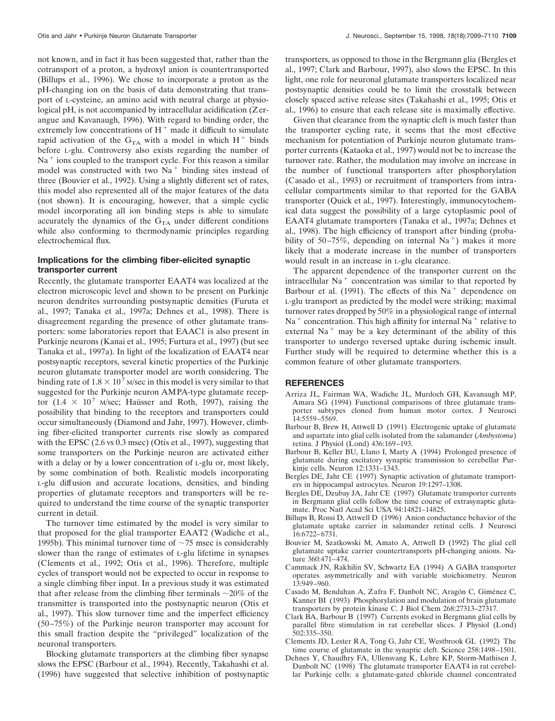not known, and in fact it has been suggested that, rather than the cotransport of a proton, a hydroxyl anion is countertransported (Billups et al., 1996). We chose to incorporate a proton as the pH-changing ion on the basis of data demonstrating that transport of L-cysteine, an amino acid with neutral charge at physiological pH, is not accompanied by intracellular acidification (Zerangue and Kavanaugh, 1996). With regard to binding order, the extremely low concentrations of  $H<sup>+</sup>$  made it difficult to simulate rapid activation of the  $G<sub>TA</sub>$  with a model in which  $H<sup>+</sup>$  binds before L-glu. Controversy also exists regarding the number of  $Na<sup>+</sup>$  ions coupled to the transport cycle. For this reason a similar model was constructed with two  $Na<sup>+</sup>$  binding sites instead of three (Bouvier et al., 1992). Using a slightly different set of rates, this model also represented all of the major features of the data (not shown). It is encouraging, however, that a simple cyclic model incorporating all ion binding steps is able to simulate accurately the dynamics of the  $G<sub>TA</sub>$  under different conditions while also conforming to thermodynamic principles regarding electrochemical flux.

# **Implications for the climbing fiber-elicited synaptic transporter current**

Recently, the glutamate transporter EAAT4 was localized at the electron microscopic level and shown to be present on Purkinje neuron dendrites surrounding postsynaptic densities (Furuta et al., 1997; Tanaka et al., 1997a; Dehnes et al., 1998). There is disagreement regarding the presence of other glutamate transporters: some laboratories report that EAAC1 is also present in Purkinje neurons (Kanai et al., 1995; Furtura et al., 1997) (but see Tanaka et al., 1997a). In light of the localization of EAAT4 near postsynaptic receptors, several kinetic properties of the Purkinje neuron glutamate transporter model are worth considering. The binding rate of  $1.8 \times 10^7$  M/sec in this model is very similar to that suggested for the Purkinje neuron AMPA-type glutamate receptor (1.4  $\times$  10<sup>7</sup> M/sec; Haüsser and Roth, 1997), raising the possibility that binding to the receptors and transporters could occur simultaneously (Diamond and Jahr, 1997). However, climbing fiber-elicited transporter currents rise slowly as compared with the EPSC (2.6 vs 0.3 msec) (Otis et al., 1997), suggesting that some transporters on the Purkinje neuron are activated either with a delay or by a lower concentration of  $L$ -glu or, most likely, by some combination of both. Realistic models incorporating L-glu diffusion and accurate locations, densities, and binding properties of glutamate receptors and transporters will be required to understand the time course of the synaptic transporter current in detail.

The turnover time estimated by the model is very similar to that proposed for the glial transporter EAAT2 (Wadiche et al., 1995b). This minimal turnover time of  $\sim$ 75 msec is considerably slower than the range of estimates of L-glu lifetime in synapses (Clements et al., 1992; Otis et al., 1996). Therefore, multiple cycles of transport would not be expected to occur in response to a single climbing fiber input. In a previous study it was estimated that after release from the climbing fiber terminals  $\sim$ 20% of the transmitter is transported into the postsynaptic neuron (Otis et al., 1997). This slow turnover time and the imperfect efficiency (50–75%) of the Purkinje neuron transporter may account for this small fraction despite the "privileged" localization of the neuronal transporters.

Blocking glutamate transporters at the climbing fiber synapse slows the EPSC (Barbour et al., 1994). Recently, Takahashi et al. (1996) have suggested that selective inhibition of postsynaptic transporters, as opposed to those in the Bergmann glia (Bergles et al., 1997; Clark and Barbour, 1997), also slows the EPSC. In this light, one role for neuronal glutamate transporters localized near postsynaptic densities could be to limit the crosstalk between closely spaced active release sites (Takahashi et al., 1995; Otis et al., 1996) to ensure that each release site is maximally effective.

Given that clearance from the synaptic cleft is much faster than the transporter cycling rate, it seems that the most effective mechanism for potentiation of Purkinje neuron glutamate transporter currents (Kataoka et al., 1997) would not be to increase the turnover rate. Rather, the modulation may involve an increase in the number of functional transporters after phosphorylation (Casado et al., 1993) or recruitment of transporters from intracellular compartments similar to that reported for the GABA transporter (Quick et al., 1997). Interestingly, immunocytochemical data suggest the possibility of a large cytoplasmic pool of EAAT4 glutamate transporters (Tanaka et al., 1997a; Dehnes et al., 1998). The high efficiency of transport after binding (probability of 50–75%, depending on internal  $Na<sup>+</sup>$ ) makes it more likely that a moderate increase in the number of transporters would result in an increase in L-glu clearance.

The apparent dependence of the transporter current on the intracellular  $Na<sup>+</sup>$  concentration was similar to that reported by Barbour et al. (1991). The effects of this  $Na<sup>+</sup>$  dependence on L-glu transport as predicted by the model were striking; maximal turnover rates dropped by 50% in a physiological range of internal  $Na<sup>+</sup>$  concentration. This high affinity for internal Na<sup>+</sup> relative to external  $Na<sup>+</sup>$  may be a key determinant of the ability of this transporter to undergo reversed uptake during ischemic insult. Further study will be required to determine whether this is a common feature of other glutamate transporters.

#### **REFERENCES**

- Arriza JL, Fairman WA, Wadiche JL, Murdoch GH, Kavanaugh MP, Amara SG (1994) Functional comparisons of three glutamate transporter subtypes cloned from human motor cortex. J Neurosci 14:5559–5569.
- Barbour B, Brew H, Attwell D (1991) Electrogenic uptake of glutamate and aspartate into glial cells isolated from the salamander (*Ambystoma*) retina. J Physiol (Lond) 436:169–193.
- Barbour B, Keller BU, Llano I, Marty A (1994) Prolonged presence of glutamate during excitatory synaptic transmission to cerebellar Purkinje cells. Neuron 12:1331–1343.
- Bergles DE, Jahr CE (1997) Synaptic activation of glutamate transporters in hippocampal astrocytes. Neuron 19:1297–1308.
- Bergles DE, Dzubay JA, Jahr CE (1997) Glutamate transporter currents in Bergmann glial cells follow the time course of extrasynaptic glutamate. Proc Natl Acad Sci USA 94:14821–14825.
- Billups B, Rossi D, Attwell D (1996) Anion conductance behavior of the glutamate uptake carrier in salamander retinal cells. J Neurosci 16:6722–6731.
- Bouvier M, Szatkowski M, Amato A, Attwell D (1992) The glial cell glutamate uptake carrier countertransports pH-changing anions. Nature 360:471–474.
- Cammack JN, Rakhilin SV, Schwartz EA (1994) A GABA transporter operates asymmetrically and with variable stoichiometry. Neuron 13:949–960.
- Casado M, Bendahan A, Zafra F, Danbolt NC, Aragón C, Giménez C, Kanner BI (1993) Phosphorylation and modulation of brain glutamate transporters by protein kinase C. J Biol Chem 268:27313–27317.
- Clark BA, Barbour B (1997) Currents evoked in Bergmann glial cells by parallel fibre stimulation in rat cerebellar slices. J Physiol (Lond) 502:335–350.
- Clements JD, Lester RA, Tong G, Jahr CE, Westbrook GL (1992) The time course of glutamate in the synaptic cleft. Science 258:1498–1501.
- Dehnes Y, Chaudhry FA, Ullensvang K, Lehre KP, Storm-Mathisen J, Danbolt NC (1998) The glutamate transporter EAAT4 in rat cerebellar Purkinje cells: a glutamate-gated chloride channel concentrated